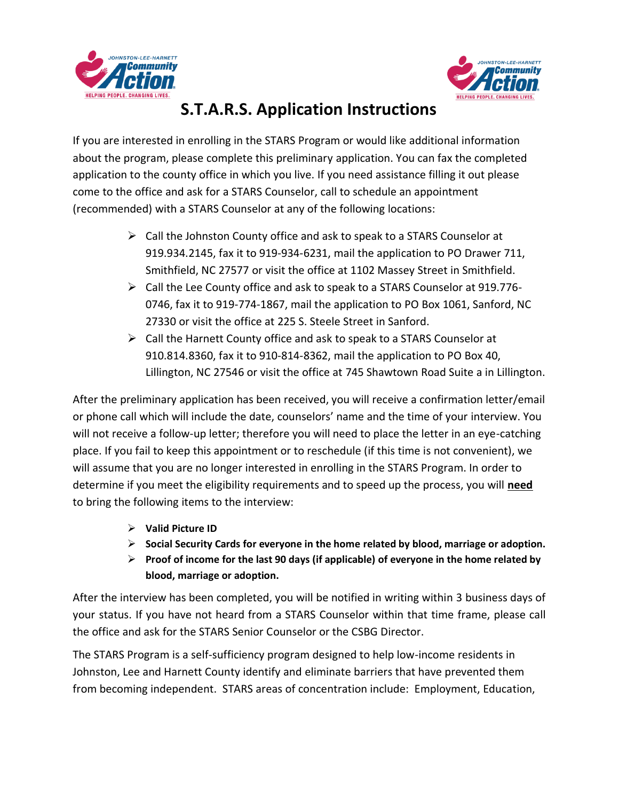



## **S.T.A.R.S. Application Instructions**

If you are interested in enrolling in the STARS Program or would like additional information about the program, please complete this preliminary application. You can fax the completed application to the county office in which you live. If you need assistance filling it out please come to the office and ask for a STARS Counselor, call to schedule an appointment (recommended) with a STARS Counselor at any of the following locations:

- ➢ Call the Johnston County office and ask to speak to a STARS Counselor at 919.934.2145, fax it to 919-934-6231, mail the application to PO Drawer 711, Smithfield, NC 27577 or visit the office at 1102 Massey Street in Smithfield.
- ➢ Call the Lee County office and ask to speak to a STARS Counselor at 919.776- 0746, fax it to 919-774-1867, mail the application to PO Box 1061, Sanford, NC 27330 or visit the office at 225 S. Steele Street in Sanford.
- $\triangleright$  Call the Harnett County office and ask to speak to a STARS Counselor at 910.814.8360, fax it to 910-814-8362, mail the application to PO Box 40, Lillington, NC 27546 or visit the office at 745 Shawtown Road Suite a in Lillington.

After the preliminary application has been received, you will receive a confirmation letter/email or phone call which will include the date, counselors' name and the time of your interview. You will not receive a follow-up letter; therefore you will need to place the letter in an eye-catching place. If you fail to keep this appointment or to reschedule (if this time is not convenient), we will assume that you are no longer interested in enrolling in the STARS Program. In order to determine if you meet the eligibility requirements and to speed up the process, you will **need** to bring the following items to the interview:

- ➢ **Valid Picture ID**
- ➢ **Social Security Cards for everyone in the home related by blood, marriage or adoption.**
- ➢ **Proof of income for the last 90 days (if applicable) of everyone in the home related by blood, marriage or adoption.**

After the interview has been completed, you will be notified in writing within 3 business days of your status. If you have not heard from a STARS Counselor within that time frame, please call the office and ask for the STARS Senior Counselor or the CSBG Director.

The STARS Program is a self-sufficiency program designed to help low-income residents in Johnston, Lee and Harnett County identify and eliminate barriers that have prevented them from becoming independent. STARS areas of concentration include: Employment, Education,